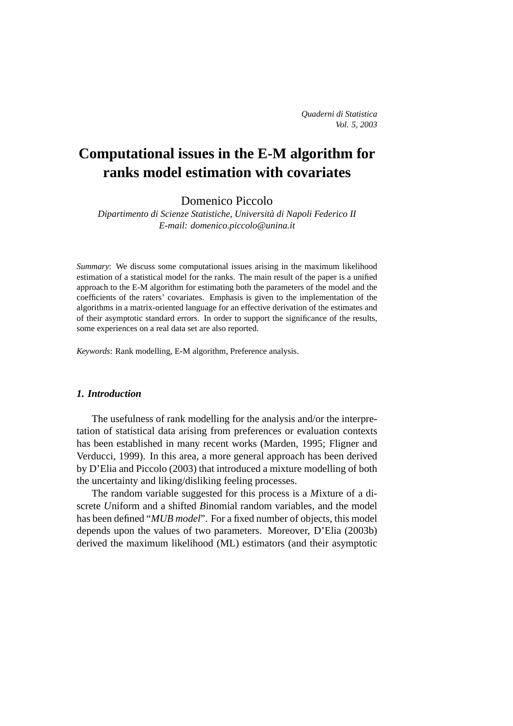# **Computational issues in the E-M algorithm for ranks model estimation with covariates**

Domenico Piccolo

*Dipartimento di Scienze Statistiche, Universita di Napoli Federico II ` E-mail: domenico.piccolo@unina.it*

*Summary*: We discuss some computational issues arising in the maximum likelihood estimation of a statistical model for the ranks. The main result of the paper is a unified approach to the E-M algorithm for estimating both the parameters of the model and the coefficients of the raters' covariates. Emphasis is given to the implementation of the algorithms in a matrix-oriented language for an effective derivation of the estimates and of their asymptotic standard errors. In order to support the significance of the results, some experiences on a real data set are also reported.

*Keywords*: Rank modelling, E-M algorithm, Preference analysis.

# *1. Introduction*

The usefulness of rank modelling for the analysis and/or the interpretation of statistical data arising from preferences or evaluation contexts has been established in many recent works (Marden, 1995; Fligner and Verducci, 1999). In this area, a more general approach has been derived by D'Elia and Piccolo (2003) that introduced a mixture modelling of both the uncertainty and liking/disliking feeling processes.

The random variable suggested for this process is a *M*ixture of a discrete *U*niform and a shifted *B*inomial random variables, and the model has been defined "*MUB model*". For a fixed number of objects, this model depends upon the values of two parameters. Moreover, D'Elia (2003b) derived the maximum likelihood (ML) estimators (and their asymptotic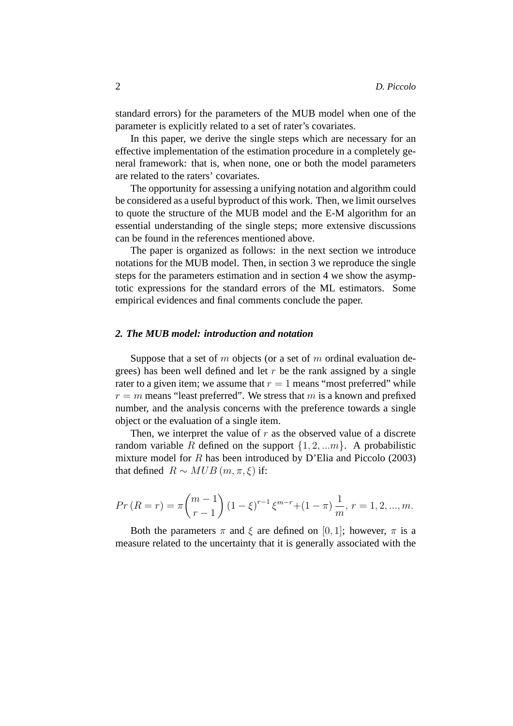standard errors) for the parameters of the MUB model when one of the parameter is explicitly related to a set of rater's covariates.

In this paper, we derive the single steps which are necessary for an effective implementation of the estimation procedure in a completely general framework: that is, when none, one or both the model parameters are related to the raters' covariates.

The opportunity for assessing a unifying notation and algorithm could be considered as a useful byproduct of this work. Then, we limit ourselves to quote the structure of the MUB model and the E-M algorithm for an essential understanding of the single steps; more extensive discussions can be found in the references mentioned above.

The paper is organized as follows: in the next section we introduce notations for the MUB model. Then, in section 3 we reproduce the single steps for the parameters estimation and in section 4 we show the asymptotic expressions for the standard errors of the ML estimators. Some empirical evidences and final comments conclude the paper.

## *2. The MUB model: introduction and notation*

Suppose that a set of  $m$  objects (or a set of  $m$  ordinal evaluation degrees) has been well defined and let  $r$  be the rank assigned by a single rater to a given item; we assume that  $r = 1$  means "most preferred" while  $r = m$  means "least preferred". We stress that m is a known and prefixed number, and the analysis concerns with the preference towards a single object or the evaluation of a single item.

Then, we interpret the value of  $r$  as the observed value of a discrete random variable R defined on the support  $\{1, 2, \ldots m\}$ . A probabilistic mixture model for  $R$  has been introduced by D'Elia and Piccolo (2003) that defined  $R \sim MUB(m, \pi, \xi)$  if:

$$
Pr(R = r) = \pi {m-1 \choose r-1} (1-\xi)^{r-1} \xi^{m-r} + (1-\pi) \frac{1}{m}, r = 1, 2, ..., m.
$$

Both the parameters  $\pi$  and  $\xi$  are defined on [0, 1]; however,  $\pi$  is a measure related to the uncertainty that it is generally associated with the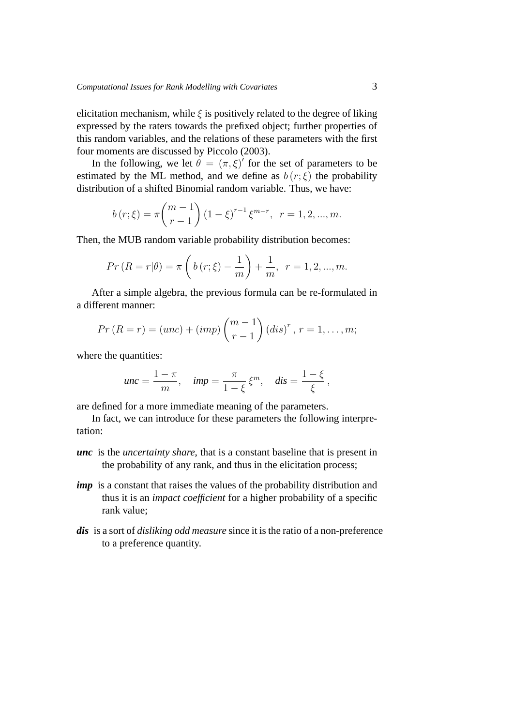elicitation mechanism, while  $\xi$  is positively related to the degree of liking expressed by the raters towards the prefixed object; further properties of this random variables, and the relations of these parameters with the first four moments are discussed by Piccolo (2003).

In the following, we let  $\hat{\theta} = (\pi, \xi)'$  for the set of parameters to be estimated by the ML method, and we define as  $b(r;\xi)$  the probability distribution of a shifted Binomial random variable. Thus, we have:

$$
b(r;\xi) = \pi \binom{m-1}{r-1} (1-\xi)^{r-1} \xi^{m-r}, \ \ r = 1, 2, ..., m.
$$

Then, the MUB random variable probability distribution becomes:

$$
Pr(R = r | \theta) = \pi \left( b(r; \xi) - \frac{1}{m} \right) + \frac{1}{m}, \ r = 1, 2, ..., m.
$$

After a simple algebra, the previous formula can be re-formulated in a different manner:

$$
Pr(R = r) = (unc) + (imp) {m-1 \choose r-1} (dis)^r, r = 1,...,m;
$$

where the quantities:

$$
unc = \frac{1-\pi}{m}, \quad imp = \frac{\pi}{1-\xi} \xi^m, \quad dis = \frac{1-\xi}{\xi},
$$

are defined for a more immediate meaning of the parameters.

In fact, we can introduce for these parameters the following interpretation:

- *unc* is the *uncertainty share*, that is a constant baseline that is present in the probability of any rank, and thus in the elicitation process;
- *imp* is a constant that raises the values of the probability distribution and thus it is an *impact coefficient* for a higher probability of a specific rank value;
- *dis* is a sort of *disliking odd measure* since it is the ratio of a non-preference to a preference quantity.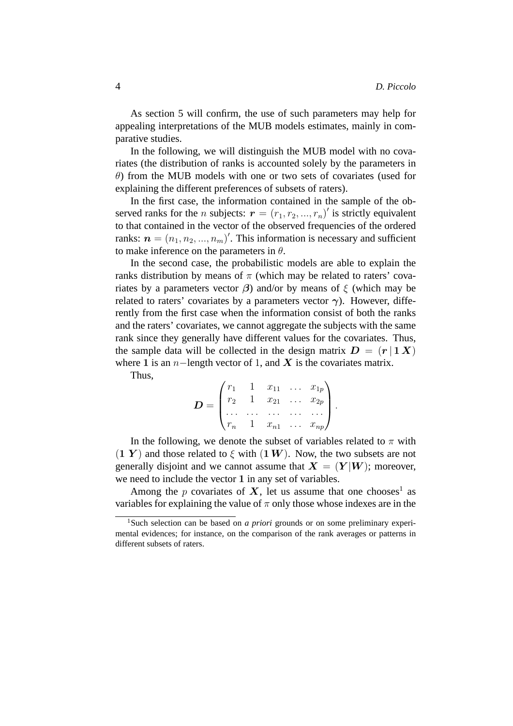As section 5 will confirm, the use of such parameters may help for appealing interpretations of the MUB models estimates, mainly in comparative studies.

In the following, we will distinguish the MUB model with no covariates (the distribution of ranks is accounted solely by the parameters in  $\theta$ ) from the MUB models with one or two sets of covariates (used for explaining the different preferences of subsets of raters).

In the first case, the information contained in the sample of the observed ranks for the *n* subjects:  $\mathbf{r} = (r_1, r_2, ..., r_n)'$  is strictly equivalent to that contained in the vector of the observed frequencies of the ordered ranks:  $\boldsymbol{n} = (n_1, n_2, ..., n_m)'$ . This information is necessary and sufficient to make inference on the parameters in  $\theta$ .

In the second case, the probabilistic models are able to explain the ranks distribution by means of  $\pi$  (which may be related to raters' covariates by a parameters vector  $\beta$ ) and/or by means of  $\xi$  (which may be related to raters' covariates by a parameters vector  $\gamma$ ). However, differently from the first case when the information consist of both the ranks and the raters' covariates, we cannot aggregate the subjects with the same rank since they generally have different values for the covariates. Thus, the sample data will be collected in the design matrix  $D = (r | 1 X)$ where 1 is an n−length vector of 1, and X is the covariates matrix.

Thus,

$$
D = \begin{pmatrix} r_1 & 1 & x_{11} & \dots & x_{1p} \\ r_2 & 1 & x_{21} & \dots & x_{2p} \\ \dots & \dots & \dots & \dots & \dots \\ r_n & 1 & x_{n1} & \dots & x_{np} \end{pmatrix}.
$$

In the following, we denote the subset of variables related to  $\pi$  with  $(1 Y)$  and those related to  $\xi$  with  $(1 W)$ . Now, the two subsets are not generally disjoint and we cannot assume that  $X = (Y|W)$ ; moreover, we need to include the vector 1 in any set of variables.

Among the p covariates of X, let us assume that one chooses<sup>1</sup> as variables for explaining the value of  $\pi$  only those whose indexes are in the

<sup>&</sup>lt;sup>1</sup>Such selection can be based on *a priori* grounds or on some preliminary experimental evidences; for instance, on the comparison of the rank averages or patterns in different subsets of raters.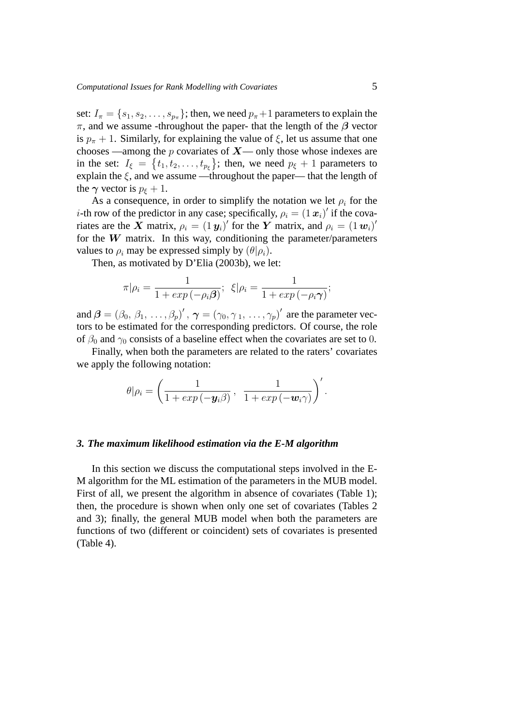set:  $I_{\pi} = \{s_1, s_2, \dots, s_{p_{\pi}}\}\;$  then, we need  $p_{\pi}+1$  parameters to explain the π, and we assume -throughout the paper- that the length of the  $β$  vector is  $p_{\pi} + 1$ . Similarly, for explaining the value of  $\xi$ , let us assume that one chooses —among the p covariates of  $X$ — only those whose indexes are in the set:  $I_{\xi} = \{t_1, t_2, \ldots, t_{p_{\xi}}\}$ ; then, we need  $p_{\xi} + 1$  parameters to explain the  $\xi$ , and we assume —throughout the paper— that the length of the  $\gamma$  vector is  $p_f + 1$ .

As a consequence, in order to simplify the notation we let  $\rho_i$  for the *i*-th row of the predictor in any case; specifically,  $\rho_i = (1 \mathbf{x}_i)'$  if the covariates are the X matrix,  $\rho_i = (1 \, \textbf{y}_i)'$  for the Y matrix, and  $\rho_i = (1 \, \textbf{w}_i)'$ for the  $W$  matrix. In this way, conditioning the parameter/parameters values to  $\rho_i$  may be expressed simply by  $(\theta | \rho_i)$ .

Then, as motivated by D'Elia (2003b), we let:

$$
\pi|\rho_i = \frac{1}{1 + exp(-\rho_i \beta)}; \ \xi|\rho_i = \frac{1}{1 + exp(-\rho_i \gamma)};
$$

and  $\bm{\beta}=(\beta_0,\,\beta_1,\,\ldots,\beta_p)'$  ,  $\bm{\gamma}=(\gamma_0,\gamma_1,\,\ldots,\gamma_p)'$  are the parameter vectors to be estimated for the corresponding predictors. Of course, the role of  $\beta_0$  and  $\gamma_0$  consists of a baseline effect when the covariates are set to 0.

Finally, when both the parameters are related to the raters' covariates we apply the following notation:

$$
\theta|\rho_i = \left(\frac{1}{1 + exp(-\mathbf{y}_i\beta)}, \frac{1}{1 + exp(-\mathbf{w}_i\gamma)}\right)'.
$$

#### *3. The maximum likelihood estimation via the E-M algorithm*

In this section we discuss the computational steps involved in the E-M algorithm for the ML estimation of the parameters in the MUB model. First of all, we present the algorithm in absence of covariates (Table 1); then, the procedure is shown when only one set of covariates (Tables 2 and 3); finally, the general MUB model when both the parameters are functions of two (different or coincident) sets of covariates is presented (Table 4).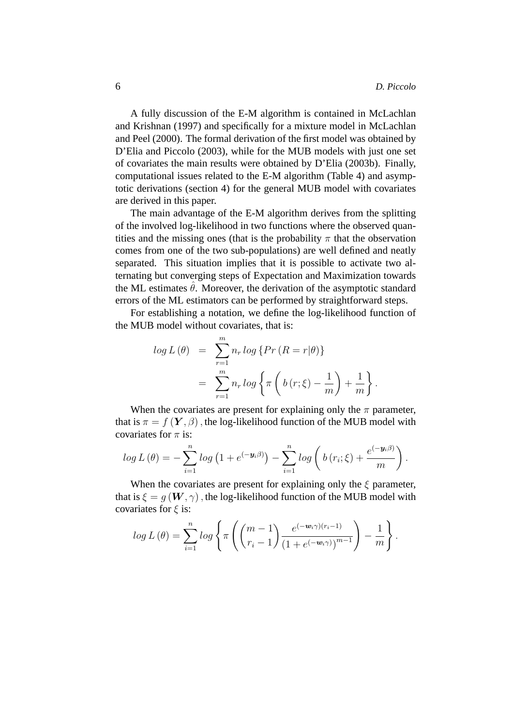.

A fully discussion of the E-M algorithm is contained in McLachlan and Krishnan (1997) and specifically for a mixture model in McLachlan and Peel (2000). The formal derivation of the first model was obtained by D'Elia and Piccolo (2003), while for the MUB models with just one set of covariates the main results were obtained by D'Elia (2003b). Finally, computational issues related to the E-M algorithm (Table 4) and asymptotic derivations (section 4) for the general MUB model with covariates are derived in this paper.

The main advantage of the E-M algorithm derives from the splitting of the involved log-likelihood in two functions where the observed quantities and the missing ones (that is the probability  $\pi$  that the observation comes from one of the two sub-populations) are well defined and neatly separated. This situation implies that it is possible to activate two alternating but converging steps of Expectation and Maximization towards the ML estimates  $\hat{\theta}$ . Moreover, the derivation of the asymptotic standard errors of the ML estimators can be performed by straightforward steps.

For establishing a notation, we define the log-likelihood function of the MUB model without covariates, that is:

$$
log L(\theta) = \sum_{r=1}^{m} n_r log \{ Pr (R = r | \theta) \}
$$

$$
= \sum_{r=1}^{m} n_r log \{ \pi \left( b (r; \xi) - \frac{1}{m} \right) + \frac{1}{m} \}
$$

When the covariates are present for explaining only the  $\pi$  parameter, that is  $\pi = f(Y, \beta)$ , the log-likelihood function of the MUB model with covariates for  $\pi$  is:

$$
log L(\theta) = -\sum_{i=1}^{n} log (1 + e^{(-\mathbf{y}_{i}\beta)}) - \sum_{i=1}^{n} log (b (r_{i}; \xi) + \frac{e^{(-\mathbf{y}_{i}\beta)}}{m}).
$$

When the covariates are present for explaining only the  $\xi$  parameter, that is  $\xi = q(W, \gamma)$ , the log-likelihood function of the MUB model with covariates for  $\xi$  is:

$$
log L(\theta) = \sum_{i=1}^{n} log \left\{ \pi \left( \binom{m-1}{r_i-1} \frac{e^{(-\mathbf{w}_i \gamma)(r_i-1)}}{(1+e^{(-\mathbf{w}_i \gamma)})^{m-1}} \right) - \frac{1}{m} \right\}.
$$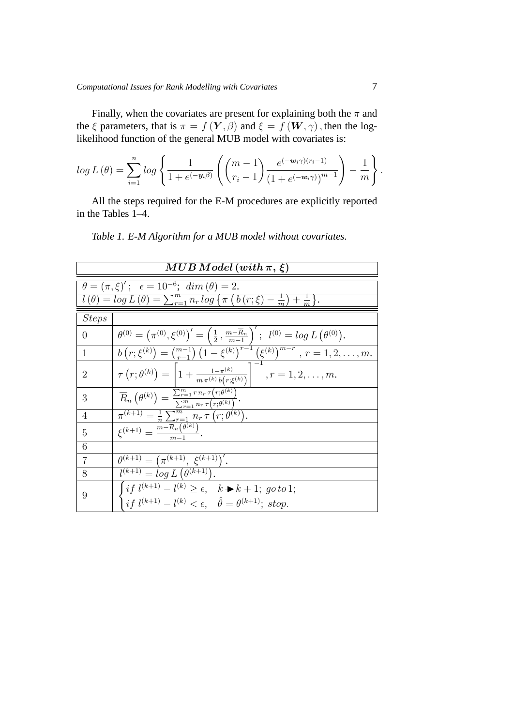Finally, when the covariates are present for explaining both the  $\pi$  and the  $\xi$  parameters, that is  $\pi = f(\boldsymbol{Y}, \beta)$  and  $\xi = f(\boldsymbol{W}, \gamma)$ , then the loglikelihood function of the general MUB model with covariates is:

$$
log L(\theta) = \sum_{i=1}^{n} log \left\{ \frac{1}{1 + e^{(-\mathbf{y}_i \beta)}} \left( \binom{m-1}{r_i-1} \frac{e^{(-\mathbf{w}_i \gamma)(r_i-1)}}{\left(1 + e^{(-\mathbf{w}_i \gamma)}\right)^{m-1}} \right) - \frac{1}{m} \right\}.
$$

All the steps required for the E-M procedures are explicitly reported in the Tables 1–4.

*Table 1. E-M Algorithm for a MUB model without covariates.*

| $MUB\,Model\, (with\, \pi, \xi)$ |                                                                                                                                                                                                                                                                      |  |  |  |  |
|----------------------------------|----------------------------------------------------------------------------------------------------------------------------------------------------------------------------------------------------------------------------------------------------------------------|--|--|--|--|
|                                  | $\theta = (\pi, \xi)'; \ \epsilon = 10^{-6}; \ dim(\theta) = 2.$                                                                                                                                                                                                     |  |  |  |  |
|                                  | $l(\theta) = \log L(\theta) = \sum_{r=1}^{m} n_r \log \left\{ \pi \left( b(r;\xi) - \frac{1}{m} \right) + \frac{1}{m} \right\}.$                                                                                                                                     |  |  |  |  |
| <b>Steps</b>                     |                                                                                                                                                                                                                                                                      |  |  |  |  |
| 0                                | $\overline{\theta^{(0)}} = (\pi^{(0)}, \xi^{(0)})' = \left(\frac{1}{2}, \frac{m - \overline{R}_n}{m - 1}\right)'; \quad l^{(0)} = \log L(\theta^{(0)}).$<br>$b(r;\xi^{(k)}) = {m-1 \choose r-1} (1 - \xi^{(k)})^{r-1} (\xi^{(k)})^{m-r}, \quad r = 1, 2, \ldots, m.$ |  |  |  |  |
| 1                                |                                                                                                                                                                                                                                                                      |  |  |  |  |
| $\overline{2}$                   | $\tau(r; \theta^{(k)}) = \left[1 + \frac{1 - \pi^{(k)}}{m \pi^{(k)} b(r; \xi^{(k)})}\right]$ , $r = 1, 2, , m$ .                                                                                                                                                     |  |  |  |  |
| 3                                | $\overline{R}_n(\theta^{(k)}) = \frac{\sum_{r=1}^m r n_r \tau(r; \theta^{(k)})}{\sum_{r=1}^m n_r \tau(r; \theta^{(k)})}.$                                                                                                                                            |  |  |  |  |
| 4                                |                                                                                                                                                                                                                                                                      |  |  |  |  |
| 5                                | $\frac{\pi^{(k+1)} = \frac{1}{n} \sum_{r=1}^{n} n_r \tau (r; \theta^{(k)})}{\xi^{(k+1)} = \frac{m - \overline{R}_n(\theta^{(k)})}{m - 1}}.$                                                                                                                          |  |  |  |  |
| 6                                |                                                                                                                                                                                                                                                                      |  |  |  |  |
| $\overline{7}$                   | $\theta^{(k+1)} = (\pi^{(k+1)}, \xi^{(k+1)})'.$                                                                                                                                                                                                                      |  |  |  |  |
| 8                                | $\overline{l^{(k+1)}} = \log L(\theta^{(k+1)}).$                                                                                                                                                                                                                     |  |  |  |  |
| 9                                | $\int i f (k+1) - l^{(k)} \geq \epsilon, \quad k \blacktriangleright k+1; \text{ go to 1};$<br>$\int i f (k+1) - l^{(k)} < \epsilon, \quad \hat{\theta} = \theta^{(k+1)};$ stop.                                                                                     |  |  |  |  |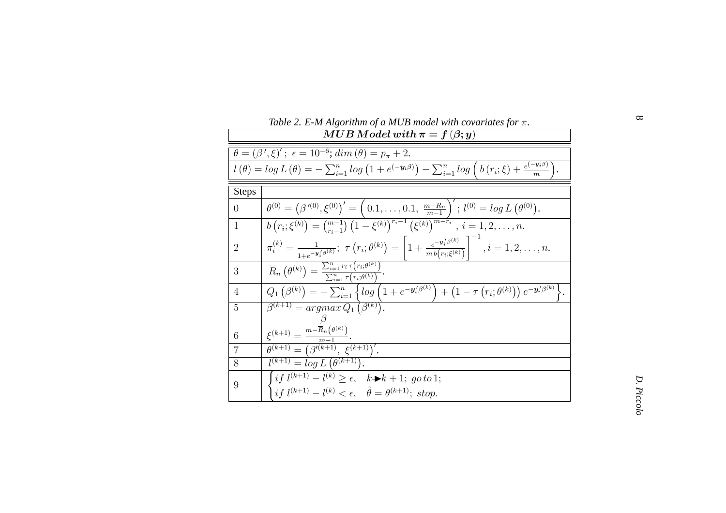|                | Table 2. E-M Algorithm of a MUB model with covariates for $\pi$ .                                                                                                                                                                                         |            |
|----------------|-----------------------------------------------------------------------------------------------------------------------------------------------------------------------------------------------------------------------------------------------------------|------------|
|                | $MUB\, Model\, with\, \pi=f\left( \beta;y\right)$                                                                                                                                                                                                         |            |
|                | $\theta = (\beta', \xi)'; \ \epsilon = 10^{-6}; \ dim(\theta) = p_{\pi} + 2.$                                                                                                                                                                             |            |
|                | $l(\theta) = \log L(\theta) = -\sum_{i=1}^{n} \log (1 + e^{(-\mathbf{y}_i \beta)}) - \sum_{i=1}^{n} \log (b(r_i; \xi) + \frac{e^{(-\mathbf{y}_i \beta)}}{m}).$                                                                                            |            |
| <b>Steps</b>   |                                                                                                                                                                                                                                                           |            |
| $\overline{0}$ | $\theta^{(0)} = (\beta'^{(0)}, \xi^{(0)})' = (0.1, \ldots, 0.1, \frac{m - \overline{R}_n}{m - 1})'; l^{(0)} = \log L(\theta^{(0)}).$<br>$\frac{b(r_i; \xi^{(k)}) = {m-1 \choose r_i-1} (1 - \xi^{(k)})^{r_i-1} (\xi^{(k)})^{m-r_i}, i = 1, 2, \ldots, n.$ |            |
| $\mathbf{1}$   |                                                                                                                                                                                                                                                           |            |
| $\overline{2}$ | $\pi_i^{(k)} = \frac{1}{1 + e^{-y_i^j(\beta^{(k)})}}$ ; $\tau(r_i; \theta^{(k)}) = \left[1 + \frac{e^{-y_i^j(\beta^{(k)})}}{m b(r_i; \xi^{(k)})}\right]^{-1}, i = 1, 2, \ldots, n.$                                                                       |            |
| 3              | $\overline{R}_n\left(\theta^{(k)}\right) = \frac{\sum_{i=1}^n r_i \tau(r_i;\theta^{(k)})}{\sum_{i=1}^n \tau(r_i;\theta^{(k)})}.$                                                                                                                          |            |
| $\overline{4}$ | $Q_1(\beta^{(k)}) = -\sum_{i=1}^n \left\{ \log \left( 1 + e^{-\mathbf{y}'_i(\beta^{(k)})} \right) + \left( 1 - \tau \overline{\left( r_i; \theta^{(k)} \right) \right) e^{-\mathbf{y}'_i(\beta^{(k)})}} \right\}.$                                        |            |
| 5              | $\beta^{(k+1)} = argmax Q_1 (\beta^{(k)}).$                                                                                                                                                                                                               |            |
| 6              | $\frac{\xi^{(k+1)} = \frac{m - \overline{R}_n(\theta^{(k)})}{m - 1}}{\theta^{(k+1)} = (\beta'^{(k+1)}, \xi^{(k+1)})'}.$                                                                                                                                   |            |
| $\overline{7}$ |                                                                                                                                                                                                                                                           |            |
| 8              | $\overline{l^{(k+1)}} = \log L(\theta^{(k+1)}).$                                                                                                                                                                                                          |            |
| 9              | $\begin{cases} if \ l^{(k+1)} - l^{(k)} \geq \epsilon, & k \blacktriangleright k + 1; \ go \ to \ 1; \\ if \ l^{(k+1)} - l^{(k)} < \epsilon, & \hat{\theta} = \theta^{(k+1)}; \ stop. \end{cases}$                                                        | D. Piccolo |
|                |                                                                                                                                                                                                                                                           |            |

π*.*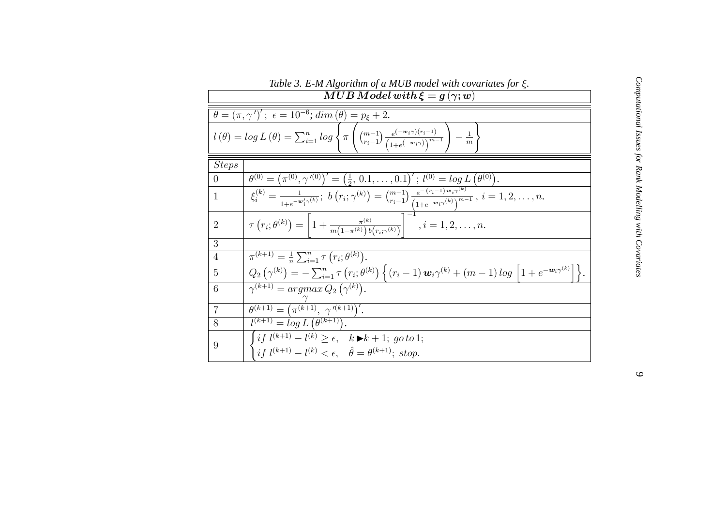|                | Table 3. E-M Algorithm of a MUB model with covariates for $\xi$ .                                                                                                                                                                                                                                                                                  |  |
|----------------|----------------------------------------------------------------------------------------------------------------------------------------------------------------------------------------------------------------------------------------------------------------------------------------------------------------------------------------------------|--|
|                | $MUB \textit{Model} with \xi = g(\gamma; w)$                                                                                                                                                                                                                                                                                                       |  |
|                | $\theta = (\pi, \gamma')'; \ \epsilon = 10^{-6}; \ dim(\theta) = p_{\xi} + 2.$                                                                                                                                                                                                                                                                     |  |
|                | $l(\theta) = \log L(\theta) = \sum_{i=1}^{n} \log \left\{ \pi \left( \frac{(m-1)}{r_{i}-1} \frac{e^{(-w_{i}\gamma)(r_{i}-1)}}{(1+e^{(-w_{i}\gamma)})^{m-1}} \right) - \frac{1}{m} \right\}$                                                                                                                                                        |  |
| <b>Steps</b>   |                                                                                                                                                                                                                                                                                                                                                    |  |
| $\theta$       | $\theta^{(0)} = (\pi^{(0)}, \gamma'^{(0)})' = (\frac{1}{2}, 0.1, \ldots, 0.1)'$ ; $l^{(0)} = \log L(\theta^{(0)})$ .                                                                                                                                                                                                                               |  |
| $\mathbf{1}$   |                                                                                                                                                                                                                                                                                                                                                    |  |
| $\overline{2}$ | $\zeta_i^{(k)} = \frac{1}{1 + e^{-w_i' \gamma^{(k)}}}; \ b(r_i; \gamma^{(k)}) = {m-1 \choose r_i-1} \frac{e^{-(r_i-1)w_i \gamma^{(k)}}}{\left(1 + e^{-w_i \gamma^{(k)}}\right)^{m-1}}, \ i = 1, 2, \ldots, n.$<br>$\tau(r_i; \theta^{(k)}) = \left[1 + \frac{\pi^{(k)}}{m(1 - \pi^{(k)})b(r_i; \gamma^{(k)})}\right]^{-1}, \ i = 1, 2, \ldots, n.$ |  |
| 3              |                                                                                                                                                                                                                                                                                                                                                    |  |
| $\overline{4}$ | $\overline{\pi^{(k+1)} = \frac{1}{n} \sum_{i=1}^{n} \tau (r_i; \theta^{(k)})}.$                                                                                                                                                                                                                                                                    |  |
| 5              | $Q_2(\gamma^{(k)}) = -\sum_{i=1}^n \tau(r_i;\theta^{(k)}) \left\{ (r_i-1) \, \mathbf{w}_i \gamma^{(k)} + (m-1) \log \left[ 1 + e^{-\mathbf{w}_i \overline{\gamma^{(k)}}} \right] \right\}.$                                                                                                                                                        |  |
| 6              | $\gamma^{(k+1)} = argmax Q_2(\gamma^{(k)}).$                                                                                                                                                                                                                                                                                                       |  |
| $\overline{7}$ | $\theta^{(k+1)} = (\pi^{(k+1)}, \gamma^{(k+1)})'.$                                                                                                                                                                                                                                                                                                 |  |
| 8              | $l^{(k+1)} = \log L(\theta^{(k+1)})$ .                                                                                                                                                                                                                                                                                                             |  |
| 9              | $\int if l^{(k+1)} - l^{(k)} \ge \epsilon, \quad k \rightarrow k+1; go to 1;$<br>$\int i f (k+1) - l^{(k)} < \epsilon, \quad \hat{\theta} = \theta^{(k+1)};$ stop.                                                                                                                                                                                 |  |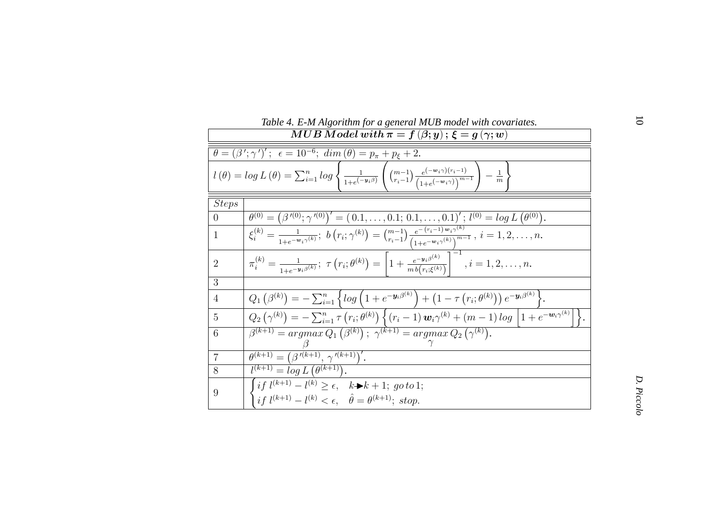|                | Table 4. E-M Algorithm for a general MUB model with covariates.                                                                                                                                                      | $\circ$    |
|----------------|----------------------------------------------------------------------------------------------------------------------------------------------------------------------------------------------------------------------|------------|
|                | $MUB\ Model\ with\ \pi=f\left(\beta;y\right);\ \xi=g\left(\gamma;w\right)$                                                                                                                                           |            |
|                | $\theta = (\beta'; \gamma')'; \ \epsilon = 10^{-6}; \ dim(\theta) = p_{\pi} + p_{\xi} + 2.$                                                                                                                          |            |
|                | $l(\theta) = \log L(\theta) = \sum_{i=1}^{n} \log \left\{ \frac{1}{1 + e^{(-y_i \beta)}} \left( \frac{m-1}{r_i - 1} \frac{e^{(-w_i \gamma)(r_i - 1)}}{(1 + e^{(-w_i \gamma)})^{m-1}} \right) - \frac{1}{m} \right\}$ |            |
| <b>Steps</b>   |                                                                                                                                                                                                                      |            |
| $\theta$       | $\theta^{(0)} = (\beta'^{(0)}; \gamma'^{(0)})' = (0.1, \ldots, 0.1; 0.1, \ldots, 0.1)'; l^{(0)} = \log L(\theta^{(0)}).$                                                                                             |            |
| $\mathbf{1}$   | $\xi_i^{(k)} = \frac{1}{1 + e^{-w_i \gamma^{(k)}}}; \ b(r_i; \gamma^{(k)}) = \binom{m-1}{r_i-1} \frac{e^{-(r_i-1)w_i \gamma^{(k)}}}{(1 + e^{-w_i \gamma^{(k)}})^{m-1}}, \ i = 1, 2, \ldots, n.$                      |            |
| $\overline{2}$ | $\pi_i^{(k)} = \frac{1}{1 + e^{-\mathbf{y}_i \beta^{(k)}}}; \ \tau(r_i; \theta^{(k)}) = \left[1 + \frac{e^{-\mathbf{y}_i \beta^{(k)}}}{m b(r_i; \xi^{(k)})}\right]$ , $i = 1, 2, , n$ .                              |            |
| 3              |                                                                                                                                                                                                                      |            |
| $\overline{4}$ | $Q_1(\beta^{(k)}) = -\sum_{i=1}^n \left\{ \log \left( 1 + e^{-\mathbf{y}_i \beta^{(k)}} \right) + \left( 1 - \tau \left( r_i; \theta^{(k)} \right) \right) e^{-\mathbf{y}_i \beta^{(k)}} \right\}.$                  |            |
| 5              | $Q_2(\gamma^{(k)}) = -\sum_{i=1}^n \tau(r_i;\theta^{(k)}) \left\{ (r_i-1) \, \mathbf{w}_i \gamma^{(k)} + (m-1) \log \left[ 1 + e^{-\mathbf{w}_i \gamma^{(k)}} \right] \right\}.$                                     |            |
| 6              | $\beta^{(k+1)} = argmax Q_1(\beta^{(k)})$ ; $\gamma^{(k+1)} = argmax Q_2(\gamma^{(k)})$ .                                                                                                                            |            |
| $\overline{7}$ | $\theta^{(k+1)} = (\beta^{(k+1)}, \gamma^{(k+1)})'.$                                                                                                                                                                 |            |
| 8              | $l^{(k+1)} = \log L(\theta^{(k+1)})$ .                                                                                                                                                                               |            |
| 9              | $\int i f (k+1) - l^{(k)} \geq \epsilon, \quad k \blacktriangleright k+1; \text{ go to 1};$<br>$\int i f \, l^{(k+1)} - l^{(k)} < \epsilon, \quad \hat{\theta} = \theta^{(k+1)}; \; stop.$                           | D. Piccolo |

| Table 4. E-M Algorithm for a general MUB model with covariates. |
|-----------------------------------------------------------------|
|-----------------------------------------------------------------|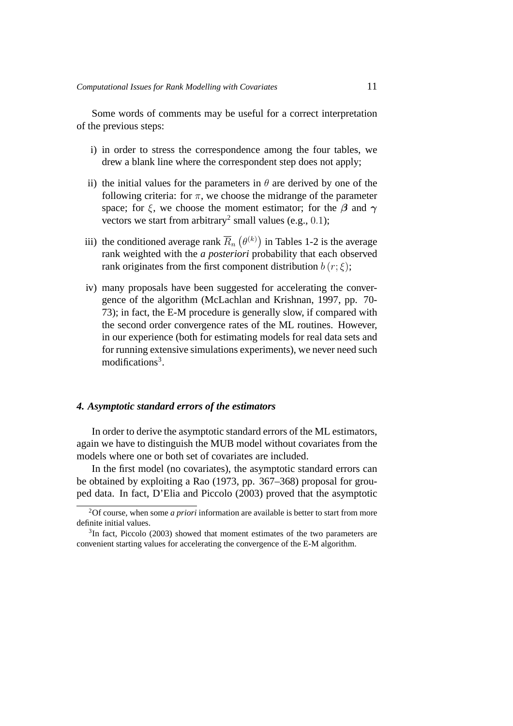Some words of comments may be useful for a correct interpretation of the previous steps:

- i) in order to stress the correspondence among the four tables, we drew a blank line where the correspondent step does not apply;
- ii) the initial values for the parameters in  $\theta$  are derived by one of the following criteria: for  $\pi$ , we choose the midrange of the parameter space; for  $\xi$ , we choose the moment estimator; for the  $\beta$  and  $\gamma$ vectors we start from arbitrary<sup>2</sup> small values (e.g., 0.1);
- iii) the conditioned average rank  $\overline{R}_n(\theta^{(k)})$  in Tables 1-2 is the average rank weighted with the *a posteriori* probability that each observed rank originates from the first component distribution  $b(r;\xi)$ ;
- iv) many proposals have been suggested for accelerating the convergence of the algorithm (McLachlan and Krishnan, 1997, pp. 70- 73); in fact, the E-M procedure is generally slow, if compared with the second order convergence rates of the ML routines. However, in our experience (both for estimating models for real data sets and for running extensive simulations experiments), we never need such modifications<sup>3</sup>.

#### *4. Asymptotic standard errors of the estimators*

In order to derive the asymptotic standard errors of the ML estimators, again we have to distinguish the MUB model without covariates from the models where one or both set of covariates are included.

In the first model (no covariates), the asymptotic standard errors can be obtained by exploiting a Rao (1973, pp. 367–368) proposal for grouped data. In fact, D'Elia and Piccolo (2003) proved that the asymptotic

<sup>2</sup>Of course, when some *a priori* information are available is better to start from more definite initial values.

<sup>&</sup>lt;sup>3</sup>In fact, Piccolo (2003) showed that moment estimates of the two parameters are convenient starting values for accelerating the convergence of the E-M algorithm.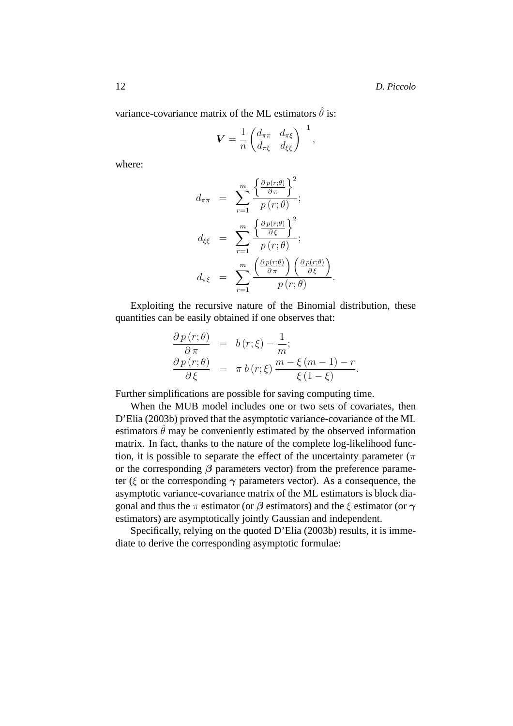variance-covariance matrix of the ML estimators  $\hat{\theta}$  is:

$$
\boldsymbol{V} = \frac{1}{n} \begin{pmatrix} d_{\pi\pi} & d_{\pi\xi} \\ d_{\pi\xi} & d_{\xi\xi} \end{pmatrix}^{-1},
$$

where:

$$
d_{\pi\pi} = \sum_{r=1}^{m} \frac{\left\{\frac{\partial p(r;\theta)}{\partial \pi}\right\}^2}{p(r;\theta)};
$$
  

$$
d_{\xi\xi} = \sum_{r=1}^{m} \frac{\left\{\frac{\partial p(r;\theta)}{\partial \xi}\right\}^2}{p(r;\theta)};
$$
  

$$
d_{\pi\xi} = \sum_{r=1}^{m} \frac{\left(\frac{\partial p(r;\theta)}{\partial \pi}\right)\left(\frac{\partial p(r;\theta)}{\partial \xi}\right)}{p(r;\theta)}
$$

Exploiting the recursive nature of the Binomial distribution, these quantities can be easily obtained if one observes that:

.

$$
\frac{\partial p(r;\theta)}{\partial \pi} = b(r;\xi) - \frac{1}{m};
$$
  

$$
\frac{\partial p(r;\theta)}{\partial \xi} = \pi b(r;\xi) \frac{m - \xi(m-1) - r}{\xi(1-\xi)}.
$$

Further simplifications are possible for saving computing time.

When the MUB model includes one or two sets of covariates, then D'Elia (2003b) proved that the asymptotic variance-covariance of the ML estimators  $\hat{\theta}$  may be conveniently estimated by the observed information matrix. In fact, thanks to the nature of the complete log-likelihood function, it is possible to separate the effect of the uncertainty parameter ( $\pi$ or the corresponding  $\beta$  parameters vector) from the preference parameter (ξ or the corresponding  $\gamma$  parameters vector). As a consequence, the asymptotic variance-covariance matrix of the ML estimators is block diagonal and thus the  $\pi$  estimator (or  $\beta$  estimators) and the  $\xi$  estimator (or  $\gamma$ estimators) are asymptotically jointly Gaussian and independent.

Specifically, relying on the quoted D'Elia (2003b) results, it is immediate to derive the corresponding asymptotic formulae: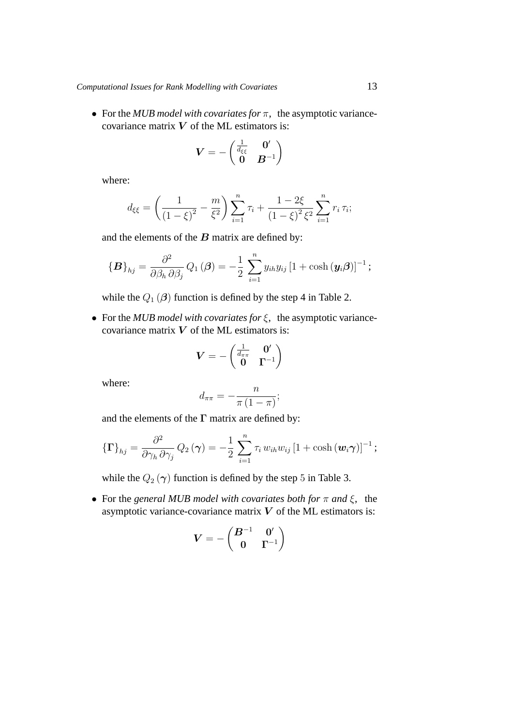• For the *MUB model with covariates for* π, the asymptotic variancecovariance matrix  $V$  of the ML estimators is:

$$
\boldsymbol{V}=-\begin{pmatrix} \frac{1}{d_{\xi\xi}} & \boldsymbol{0}' \\ \boldsymbol{0} & \boldsymbol{B}^{-1} \end{pmatrix}
$$

where:

$$
d_{\xi\xi} = \left(\frac{1}{(1-\xi)^2} - \frac{m}{\xi^2}\right) \sum_{i=1}^n \tau_i + \frac{1-2\xi}{(1-\xi)^2 \xi^2} \sum_{i=1}^n r_i \tau_i;
$$

and the elements of the  $B$  matrix are defined by:

$$
\{\boldsymbol{B}\}_{hj} = \frac{\partial^2}{\partial \beta_h \partial \beta_j} Q_1(\boldsymbol{\beta}) = -\frac{1}{2} \sum_{i=1}^n y_{ih} y_{ij} [1 + \cosh(\boldsymbol{y}_i \boldsymbol{\beta})]^{-1};
$$

while the  $Q_1(\beta)$  function is defined by the step 4 in Table 2.

• For the *MUB model with covariates for* ξ, the asymptotic variancecovariance matrix  $V$  of the ML estimators is:

$$
\boldsymbol{V} = -\begin{pmatrix} \frac{1}{d_{\pi\pi}} & \mathbf{0}' \\ \mathbf{0} & \mathbf{\Gamma}^{-1} \end{pmatrix}
$$

where:

$$
d_{\pi\pi} = -\frac{n}{\pi (1 - \pi)};
$$

and the elements of the  $\Gamma$  matrix are defined by:

$$
\{\Gamma\}_{hj} = \frac{\partial^2}{\partial \gamma_h \, \partial \gamma_j} Q_2(\boldsymbol{\gamma}) = -\frac{1}{2} \sum_{i=1}^n \tau_i \, w_{ih} w_{ij} \left[1 + \cosh(\boldsymbol{w}_i \boldsymbol{\gamma})\right]^{-1};
$$

while the  $Q_2(\gamma)$  function is defined by the step 5 in Table 3.

• For the *general MUB model with covariates both for*  $\pi$  *and*  $\xi$ , the asymptotic variance-covariance matrix  $V$  of the ML estimators is:

$$
\boldsymbol{V}=-\begin{pmatrix}\boldsymbol{B}^{-1} & \boldsymbol{0}' \\ \boldsymbol{0} & \boldsymbol{\Gamma}^{-1}\end{pmatrix}
$$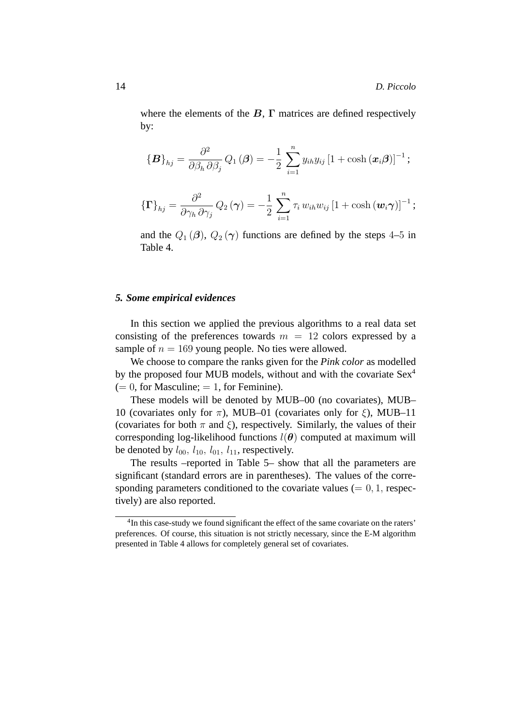where the elements of the  $B$ ,  $\Gamma$  matrices are defined respectively by:

$$
\{\boldsymbol{B}\}_{hj} = \frac{\partial^2}{\partial \beta_h \partial \beta_j} Q_1(\boldsymbol{\beta}) = -\frac{1}{2} \sum_{i=1}^n y_{ih} y_{ij} [1 + \cosh(\boldsymbol{x}_i \boldsymbol{\beta})]^{-1};
$$

$$
\{\Gamma\}_{hj} = \frac{\partial^2}{\partial \gamma_h \,\partial \gamma_j} Q_2(\boldsymbol{\gamma}) = -\frac{1}{2} \sum_{i=1}^n \tau_i w_{ih} w_{ij} \left[1 + \cosh(\boldsymbol{w}_i \boldsymbol{\gamma})\right]^{-1};
$$

and the  $Q_1(\boldsymbol{\beta})$ ,  $Q_2(\boldsymbol{\gamma})$  functions are defined by the steps 4–5 in Table 4.

## *5. Some empirical evidences*

In this section we applied the previous algorithms to a real data set consisting of the preferences towards  $m = 12$  colors expressed by a sample of  $n = 169$  young people. No ties were allowed.

We choose to compare the ranks given for the *Pink color* as modelled by the proposed four MUB models, without and with the covariate Sex<sup>4</sup>  $(= 0, for Masculine; = 1, for Ferminine).$ 

These models will be denoted by MUB–00 (no covariates), MUB– 10 (covariates only for  $\pi$ ), MUB–01 (covariates only for  $\xi$ ), MUB–11 (covariates for both  $\pi$  and  $\xi$ ), respectively. Similarly, the values of their corresponding log-likelihood functions  $l(\theta)$  computed at maximum will be denoted by  $l_{00}$ ,  $l_{10}$ ,  $l_{01}$ ,  $l_{11}$ , respectively.

The results –reported in Table 5– show that all the parameters are significant (standard errors are in parentheses). The values of the corresponding parameters conditioned to the covariate values  $(= 0, 1,$  respectively) are also reported.

<sup>&</sup>lt;sup>4</sup>In this case-study we found significant the effect of the same covariate on the raters' preferences. Of course, this situation is not strictly necessary, since the E-M algorithm presented in Table 4 allows for completely general set of covariates.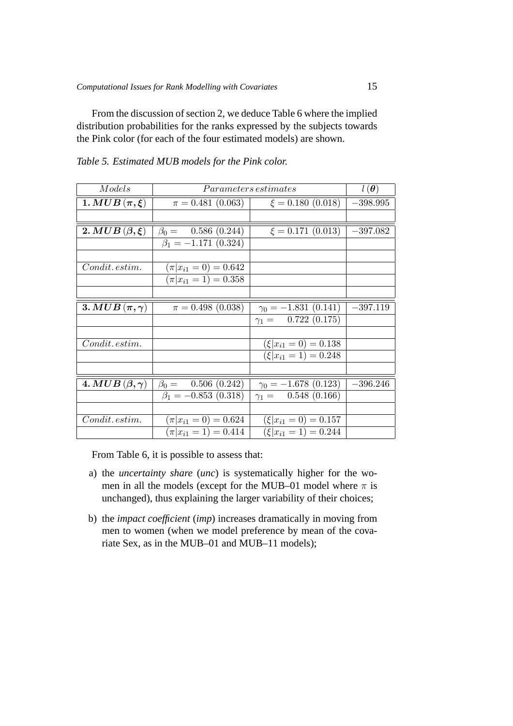From the discussion of section 2, we deduce Table 6 where the implied distribution probabilities for the ranks expressed by the subjects towards the Pink color (for each of the four estimated models) are shown.

| Models                   | <i>Parameters estimates</i>  | $l(\boldsymbol{\theta})$     |            |
|--------------------------|------------------------------|------------------------------|------------|
| 1. MUB $(\pi,\xi)$       | $\pi = 0.481\ (0.063)$       | $\xi = 0.180$ (0.018)        | $-398.995$ |
|                          |                              |                              |            |
| 2. MUB $(\beta,\xi)$     | $\beta_0 = 0.586(0.244)$     | $\xi = 0.171$ (0.013)        | $-397.082$ |
|                          | $\beta_1 = -1.171$ (0.324)   |                              |            |
|                          |                              |                              |            |
| Condit. estim.           | $(\pi   x_{i1} = 0) = 0.642$ |                              |            |
|                          | $(\pi   x_{i1} = 1) = 0.358$ |                              |            |
|                          |                              |                              |            |
| 3. MUB $(\pi, \gamma)$   | $\pi = 0.498$ (0.038)        | $\gamma_0 = -1.831(0.141)$   | $-397.119$ |
|                          |                              | $\gamma_1 = 0.722(0.175)$    |            |
|                          |                              |                              |            |
| $Condit.$ estim.         |                              | $(\xi   x_{i1} = 0) = 0.138$ |            |
|                          |                              | $(\xi   x_{i1} = 1) = 0.248$ |            |
|                          |                              |                              |            |
| 4. MUB $(\beta, \gamma)$ | $\beta_0 = 0.506(0.242)$     | $\gamma_0 = -1.678(0.123)$   | $-396.246$ |
|                          | $\beta_1 = -0.853(0.318)$    | $\gamma_1 = 0.548(0.166)$    |            |
|                          |                              |                              |            |
| $Condit.$ estim.         | $(\pi   x_{i1} = 0) = 0.624$ | $(\xi   x_{i1} = 0) = 0.157$ |            |
|                          | $(\pi   x_{i1} = 1) = 0.414$ | $(\xi   x_{i1} = 1) = 0.244$ |            |

*Table 5. Estimated MUB models for the Pink color.*

From Table 6, it is possible to assess that:

- a) the *uncertainty share* (*unc*) is systematically higher for the women in all the models (except for the MUB–01 model where  $\pi$  is unchanged), thus explaining the larger variability of their choices;
- b) the *impact coefficient* (*imp*) increases dramatically in moving from men to women (when we model preference by mean of the covariate Sex, as in the MUB–01 and MUB–11 models);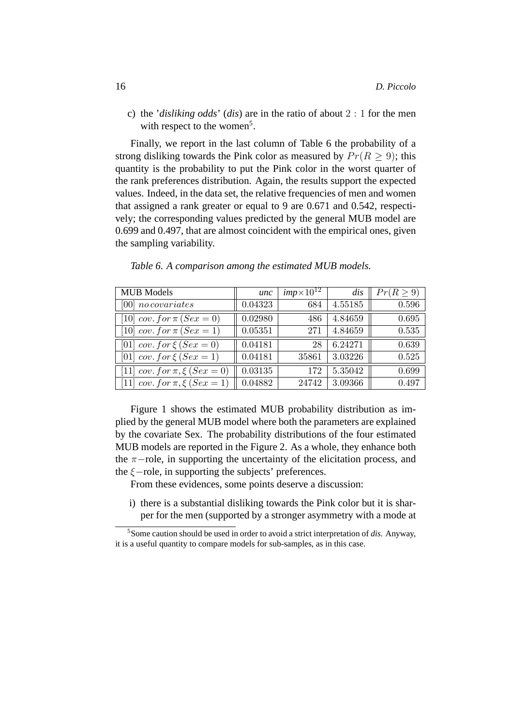c) the '*disliking odds*' (*dis*) are in the ratio of about 2 : 1 for the men with respect to the women<sup>5</sup>.

Finally, we report in the last column of Table 6 the probability of a strong disliking towards the Pink color as measured by  $Pr(R > 9)$ ; this quantity is the probability to put the Pink color in the worst quarter of the rank preferences distribution. Again, the results support the expected values. Indeed, in the data set, the relative frequencies of men and women that assigned a rank greater or equal to 9 are 0.671 and 0.542, respectively; the corresponding values predicted by the general MUB model are 0.699 and 0.497, that are almost coincident with the empirical ones, given the sampling variability.

| <b>MUB</b> Models                  | unc                 | $imp \times 10^{12}$ | dis     | $Pr(R \geq 9)$ |
|------------------------------------|---------------------|----------------------|---------|----------------|
| $[00]$ no covariates               | 0.04323             | 684                  | 4.55185 | 0.596          |
| [10] $cov. for \pi (Sex = 0)$      | 0.02980             | 486                  | 4.84659 | 0.695          |
| [10] cov. for $\pi (Sex = 1)$      | 0.05351             | 271                  | 4.84659 | 0.535          |
| [01] $cov. for \xi (Sex = 0)$      | 0.04181             | 28                   | 6.24271 | 0.639          |
| [01] $cov. for \xi (Sex = 1)$      | 0.04181             | 35861                | 3.03226 | 0.525          |
| [11] $cov. for \pi, \xi (Sex = 0)$ | 0.03135             | 172                  | 5.35042 | 0.699          |
| [11] $cov. for \pi, \xi (Sex = 1)$ | $\parallel 0.04882$ | 24742                | 3.09366 | 0.497          |

*Table 6. A comparison among the estimated MUB models.*

Figure 1 shows the estimated MUB probability distribution as implied by the general MUB model where both the parameters are explained by the covariate Sex. The probability distributions of the four estimated MUB models are reported in the Figure 2. As a whole, they enhance both the  $\pi$ −role, in supporting the uncertainty of the elicitation process, and the  $ξ$ -role, in supporting the subjects' preferences.

From these evidences, some points deserve a discussion:

i) there is a substantial disliking towards the Pink color but it is sharper for the men (supported by a stronger asymmetry with a mode at

<sup>5</sup>Some caution should be used in order to avoid a strict interpretation of *dis*. Anyway, it is a useful quantity to compare models for sub-samples, as in this case.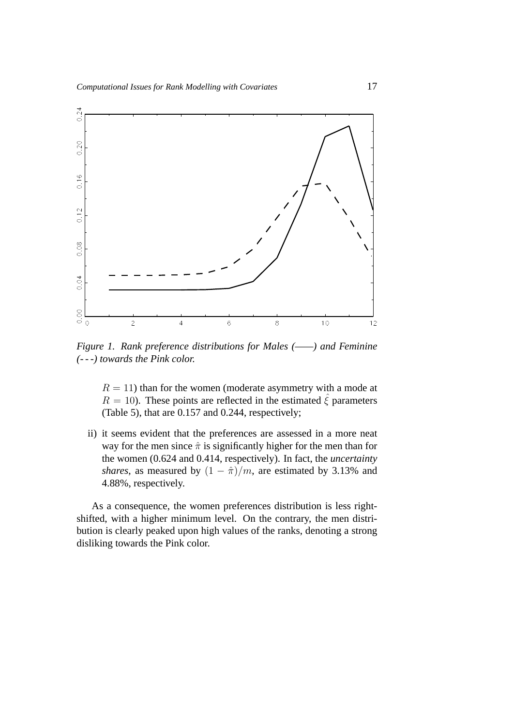

*Figure 1. Rank preference distributions for Males (——) and Feminine (- - -) towards the Pink color.*

 $R = 11$ ) than for the women (moderate asymmetry with a mode at  $R = 10$ ). These points are reflected in the estimated  $\hat{\xi}$  parameters (Table 5), that are 0.157 and 0.244, respectively;

ii) it seems evident that the preferences are assessed in a more neat way for the men since  $\hat{\pi}$  is significantly higher for the men than for the women (0.624 and 0.414, respectively). In fact, the *uncertainty shares*, as measured by  $(1 - \hat{\pi})/m$ , are estimated by 3.13% and 4.88%, respectively.

As a consequence, the women preferences distribution is less rightshifted, with a higher minimum level. On the contrary, the men distribution is clearly peaked upon high values of the ranks, denoting a strong disliking towards the Pink color.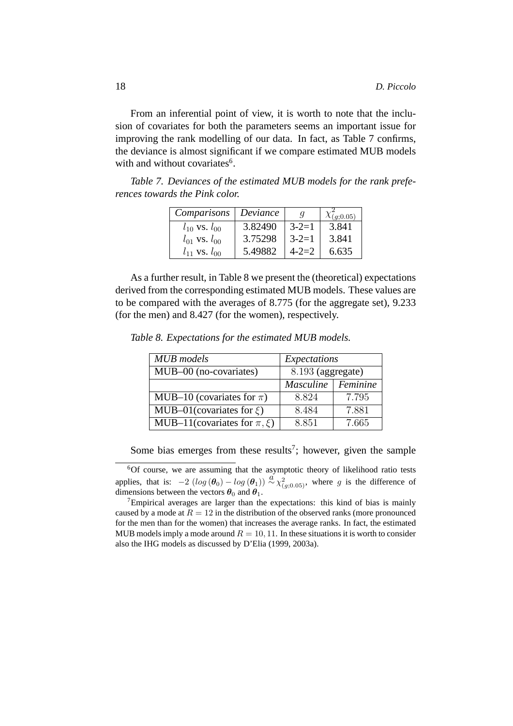From an inferential point of view, it is worth to note that the inclusion of covariates for both the parameters seems an important issue for improving the rank modelling of our data. In fact, as Table 7 confirms, the deviance is almost significant if we compare estimated MUB models with and without covariates<sup>6</sup>.

*Table 7. Deviances of the estimated MUB models for the rank preferences towards the Pink color.*

| Comparisons           | Deviance |             | $\chi_{(g;0.05)}^{-1}$ |
|-----------------------|----------|-------------|------------------------|
| $l_{10}$ vs. $l_{00}$ | 3.82490  | $3 - 2 = 1$ | 3.841                  |
| $l_{01}$ vs. $l_{00}$ | 3.75298  | $3 - 2 = 1$ | 3.841                  |
| $l_{11}$ vs. $l_{00}$ | 5.49882  | $4 - 2 = 2$ | 6.635                  |

As a further result, in Table 8 we present the (theoretical) expectations derived from the corresponding estimated MUB models. These values are to be compared with the averages of 8.775 (for the aggregate set), 9.233 (for the men) and 8.427 (for the women), respectively.

| <b>MUB</b> models                  | Expectations      |          |  |
|------------------------------------|-------------------|----------|--|
| MUB-00 (no-covariates)             | 8.193 (aggregate) |          |  |
|                                    | Masculine         | Feminine |  |
| MUB-10 (covariates for $\pi$ )     | 8.824             | 7.795    |  |
| MUB-01(covariates for $\xi$ )      | 8.484             | 7.881    |  |
| MUB-11(covariates for $\pi, \xi$ ) | 8.851             | 7.665    |  |

*Table 8. Expectations for the estimated MUB models.*

Some bias emerges from these results<sup>7</sup>; however, given the sample

<sup>6</sup>Of course, we are assuming that the asymptotic theory of likelihood ratio tests applies, that is:  $-2 \left(\log (\theta_0) - \log (\theta_1)\right) \stackrel{\alpha}{\sim} \chi^2_{(g;0.05)}$ , where g is the difference of dimensions between the vectors  $\theta_0$  and  $\theta_1$ .

<sup>7</sup>Empirical averages are larger than the expectations: this kind of bias is mainly caused by a mode at  $R = 12$  in the distribution of the observed ranks (more pronounced for the men than for the women) that increases the average ranks. In fact, the estimated MUB models imply a mode around  $R = 10, 11$ . In these situations it is worth to consider also the IHG models as discussed by D'Elia (1999, 2003a).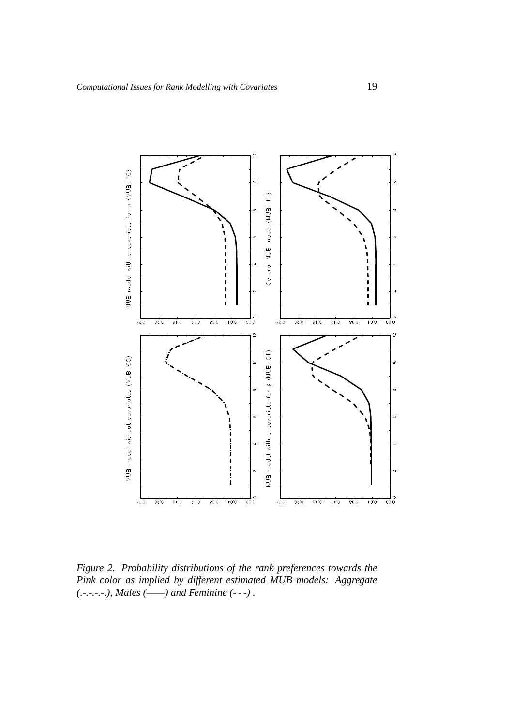

*Figure 2. Probability distributions of the rank preferences towards the Pink color as implied by different estimated MUB models: Aggregate (.-.-.-.-.), Males (——) and Feminine (- - -) .*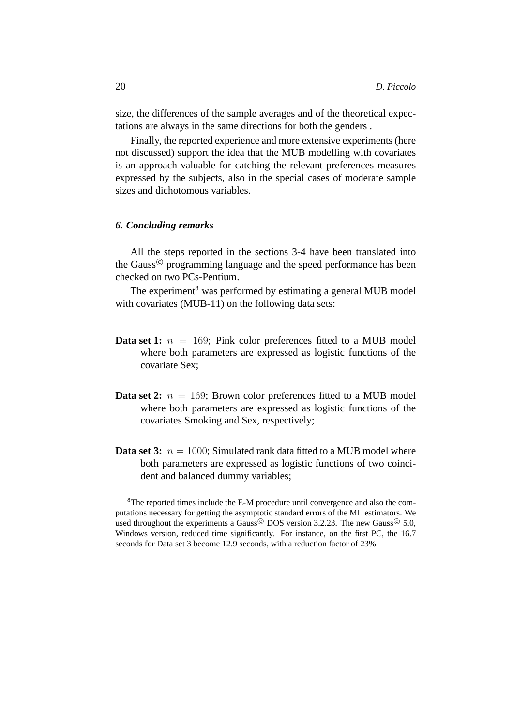size, the differences of the sample averages and of the theoretical expectations are always in the same directions for both the genders .

Finally, the reported experience and more extensive experiments (here not discussed) support the idea that the MUB modelling with covariates is an approach valuable for catching the relevant preferences measures expressed by the subjects, also in the special cases of moderate sample sizes and dichotomous variables.

# *6. Concluding remarks*

All the steps reported in the sections 3-4 have been translated into the Gauss $\mathcal{C}$  programming language and the speed performance has been checked on two PCs-Pentium.

The experiment<sup>8</sup> was performed by estimating a general MUB model with covariates (MUB-11) on the following data sets:

- **Data set 1:**  $n = 169$ ; Pink color preferences fitted to a MUB model where both parameters are expressed as logistic functions of the covariate Sex;
- **Data set 2:**  $n = 169$ ; Brown color preferences fitted to a MUB model where both parameters are expressed as logistic functions of the covariates Smoking and Sex, respectively;
- **Data set 3:**  $n = 1000$ : Simulated rank data fitted to a MUB model where both parameters are expressed as logistic functions of two coincident and balanced dummy variables;

<sup>8</sup>The reported times include the E-M procedure until convergence and also the computations necessary for getting the asymptotic standard errors of the ML estimators. We used throughout the experiments a Gauss  $\circledcirc$  DOS version 3.2.23. The new Gauss  $\circledcirc$  5.0, Windows version, reduced time significantly. For instance, on the first PC, the 16.7 seconds for Data set 3 become 12.9 seconds, with a reduction factor of 23%.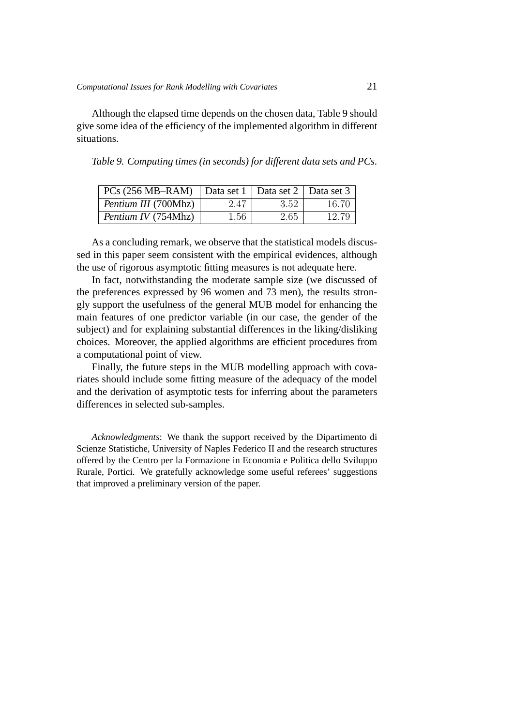Although the elapsed time depends on the chosen data, Table 9 should give some idea of the efficiency of the implemented algorithm in different situations.

| Table 9. Computing times (in seconds) for different data sets and PCs. |  |  |  |
|------------------------------------------------------------------------|--|--|--|
|                                                                        |  |  |  |

| $PCs (256 MB–RAM)$   Data set 1   Data set 2   Data set 3 |          |      |       |
|-----------------------------------------------------------|----------|------|-------|
| <i>Pentium III</i> (700Mhz)                               | 2.47     | 3.52 | 16.70 |
| Pentium IV (754Mhz)                                       | $1.56\,$ | 2.65 | 12.79 |

As a concluding remark, we observe that the statistical models discussed in this paper seem consistent with the empirical evidences, although the use of rigorous asymptotic fitting measures is not adequate here.

In fact, notwithstanding the moderate sample size (we discussed of the preferences expressed by 96 women and 73 men), the results strongly support the usefulness of the general MUB model for enhancing the main features of one predictor variable (in our case, the gender of the subject) and for explaining substantial differences in the liking/disliking choices. Moreover, the applied algorithms are efficient procedures from a computational point of view.

Finally, the future steps in the MUB modelling approach with covariates should include some fitting measure of the adequacy of the model and the derivation of asymptotic tests for inferring about the parameters differences in selected sub-samples.

*Acknowledgments*: We thank the support received by the Dipartimento di Scienze Statistiche, University of Naples Federico II and the research structures offered by the Centro per la Formazione in Economia e Politica dello Sviluppo Rurale, Portici. We gratefully acknowledge some useful referees' suggestions that improved a preliminary version of the paper.